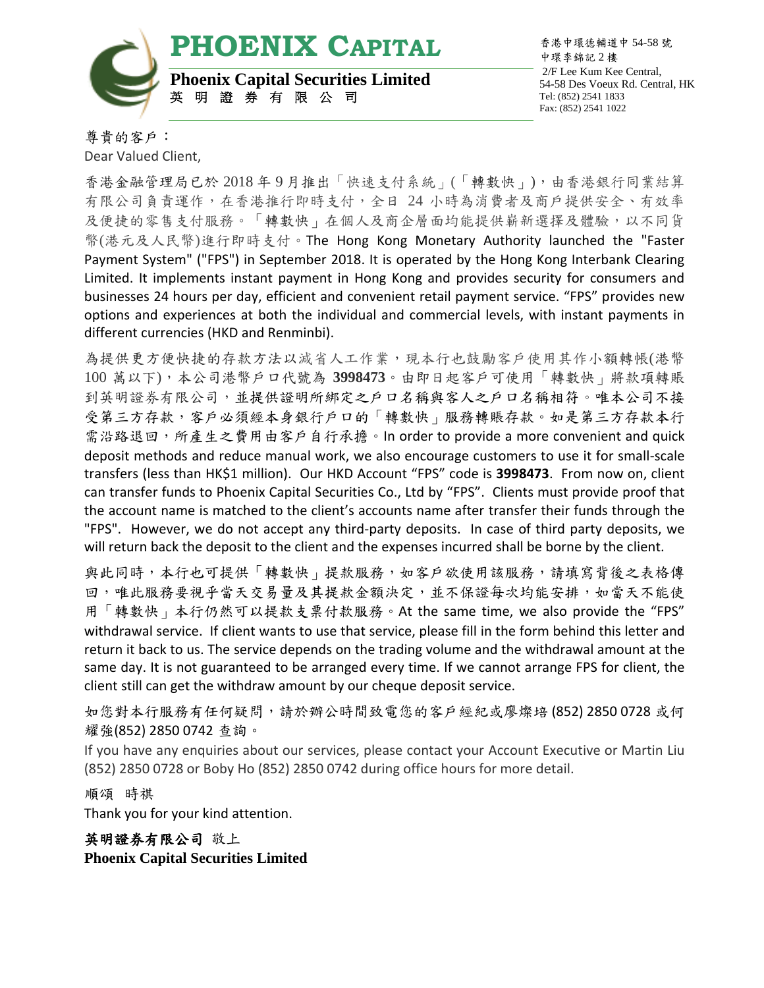**PHOENIX CAPITAL**



**Phoenix Capital Securities Limited** 英 明 證 券 有 限 公 司

香港中環德輔道中 54-58 號 中環李錦記 2 樓 2/F Lee Kum Kee Central, 54-58 Des Voeux Rd. Central, HK Tel: (852) 2541 1833 Fax: (852) 2541 1022

尊貴的客戶:

Dear Valued Client, 香港金融管理局已於 2018 年 9 月推出「快速支付系統」(「轉數快」),由香港銀行同業結算 有限公司負責運作,在香港推行即時支付,全日 24 小時為消費者及商戶提供安全、有效率 及便捷的零售支付服務。「轉數快」在個人及商企層面均能提供嶄新選擇及體驗,以不同貨 幣(港元及人民幣)進行即時支付。The Hong Kong Monetary Authority launched the "Faster Payment System" ("FPS") in September 2018. It is operated by the Hong Kong Interbank Clearing Limited. It implements instant payment in Hong Kong and provides security for consumers and businesses 24 hours per day, efficient and convenient retail payment service. "FPS" provides new options and experiences at both the individual and commercial levels, with instant payments in different currencies (HKD and Renminbi).

為提供更方便快捷的存款方法以減省人工作業,現本行也鼓勵客戶使用其作小額轉帳(港幣 100 萬以下),本公司港幣戶口代號為 **3998473**。由即日起客戶可使用「轉數快」將款項轉賬 到英明證券有限公司,並提供證明所綁定之戶口名稱與客人之戶口名稱相符。唯本公司不接 受第三方存款,客戶必須經本身銀行戶口的「轉數快」服務轉賬存款。如是第三方存款本行 需沿路退回,所產生之費用由客戶自行承擔。In order to provide a more convenient and quick deposit methods and reduce manual work, we also encourage customers to use it for small-scale transfers (less than HK\$1 million). Our HKD Account "FPS" code is **3998473**. From now on, client can transfer funds to Phoenix Capital Securities Co., Ltd by "FPS". Clients must provide proof that the account name is matched to the client's accounts name after transfer their funds through the "FPS". However, we do not accept any third-party deposits. In case of third party deposits, we will return back the deposit to the client and the expenses incurred shall be borne by the client.

與此同時,本行也可提供「轉數快」提款服務,如客戶欲使用該服務,請填寫背後之表格傳 回,唯此服務要視乎當天交易量及其提款金額決定,並不保證每次均能安排,如當天不能使 用「轉數快」本行仍然可以提款支票付款服務。At the same time, we also provide the "FPS" withdrawal service. If client wants to use that service, please fill in the form behind this letter and return it back to us. The service depends on the trading volume and the withdrawal amount at the same day. It is not guaranteed to be arranged every time. If we cannot arrange FPS for client, the client still can get the withdraw amount by our cheque deposit service.

如您對本行服務有任何疑問,請於辦公時間致電您的客戶經紀[或廖燦培](http://www.sfc.hk/publicregWeb/indi/ATX291/details) (852) 2850 0728 [或何](http://www.sfc.hk/publicregWeb/indi/AAE294/details) [耀強](http://www.sfc.hk/publicregWeb/indi/AAE294/details)(852) 2850 0742 查詢。

If you have any enquiries about our services, please contact your Account Executive or Martin Liu (852) 2850 0728 or Boby Ho (852) 2850 0742 during office hours for more detail.

順頌 時祺

Thank you for your kind attention.

英明證券有限公司 敬上 **Phoenix Capital Securities Limited**